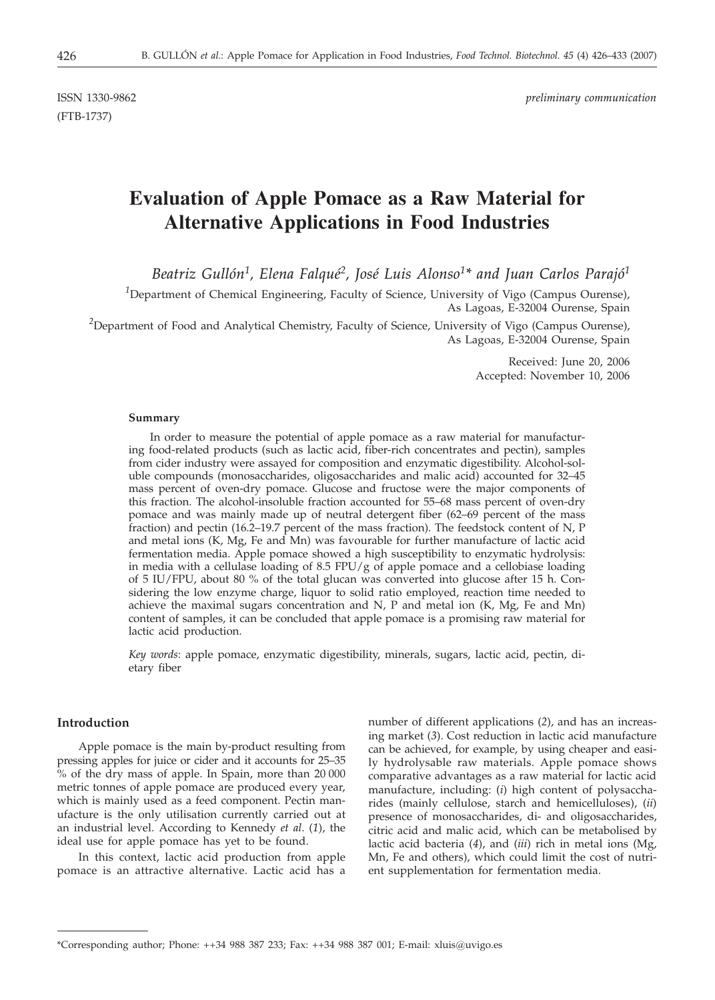(FTB-1737)

ISSN 1330-9862 *preliminary communication*

# **Evaluation of Apple Pomace as a Raw Material for Alternative Applications in Food Industries**

*Beatriz Gullón1, Elena Falqué2, José Luis Alonso1\* and Juan Carlos Parajó1*

<sup>1</sup>Department of Chemical Engineering, Faculty of Science, University of Vigo (Campus Ourense), As Lagoas, E-32004 Ourense, Spain

<sup>2</sup>Department of Food and Analytical Chemistry, Faculty of Science, University of Vigo (Campus Ourense), As Lagoas, E-32004 Ourense, Spain

> Received: June 20, 2006 Accepted: November 10, 2006

#### **Summary**

In order to measure the potential of apple pomace as a raw material for manufacturing food-related products (such as lactic acid, fiber-rich concentrates and pectin), samples from cider industry were assayed for composition and enzymatic digestibility. Alcohol-soluble compounds (monosaccharides, oligosaccharides and malic acid) accounted for 32–45 mass percent of oven-dry pomace. Glucose and fructose were the major components of this fraction. The alcohol-insoluble fraction accounted for 55–68 mass percent of oven-dry pomace and was mainly made up of neutral detergent fiber (62–69 percent of the mass fraction) and pectin (16.2–19.7 percent of the mass fraction). The feedstock content of N, P and metal ions (K, Mg, Fe and Mn) was favourable for further manufacture of lactic acid fermentation media. Apple pomace showed a high susceptibility to enzymatic hydrolysis: in media with a cellulase loading of 8.5 FPU/g of apple pomace and a cellobiase loading of 5 IU/FPU, about 80 % of the total glucan was converted into glucose after 15 h. Considering the low enzyme charge, liquor to solid ratio employed, reaction time needed to achieve the maximal sugars concentration and N, P and metal ion  $(K, Mg, Fe)$  and Mn) content of samples, it can be concluded that apple pomace is a promising raw material for lactic acid production.

*Key words*: apple pomace, enzymatic digestibility, minerals, sugars, lactic acid, pectin, dietary fiber

## **Introduction**

Apple pomace is the main by-product resulting from pressing apples for juice or cider and it accounts for 25–35 % of the dry mass of apple. In Spain, more than 20 000 metric tonnes of apple pomace are produced every year, which is mainly used as a feed component. Pectin manufacture is the only utilisation currently carried out at an industrial level. According to Kennedy *et al*. (*1*), the ideal use for apple pomace has yet to be found.

In this context, lactic acid production from apple pomace is an attractive alternative. Lactic acid has a

number of different applications (*2*), and has an increasing market (*3*). Cost reduction in lactic acid manufacture can be achieved, for example, by using cheaper and easily hydrolysable raw materials. Apple pomace shows comparative advantages as a raw material for lactic acid manufacture, including: (*i*) high content of polysaccharides (mainly cellulose, starch and hemicelluloses), (*ii*) presence of monosaccharides, di- and oligosaccharides, citric acid and malic acid, which can be metabolised by lactic acid bacteria (*4*), and (*iii*) rich in metal ions (Mg, Mn, Fe and others), which could limit the cost of nutrient supplementation for fermentation media.

<sup>\*</sup>Corresponding author; Phone: ++34 988 387 233; Fax: ++34 988 387 001; E-mail: xluis@uvigo.es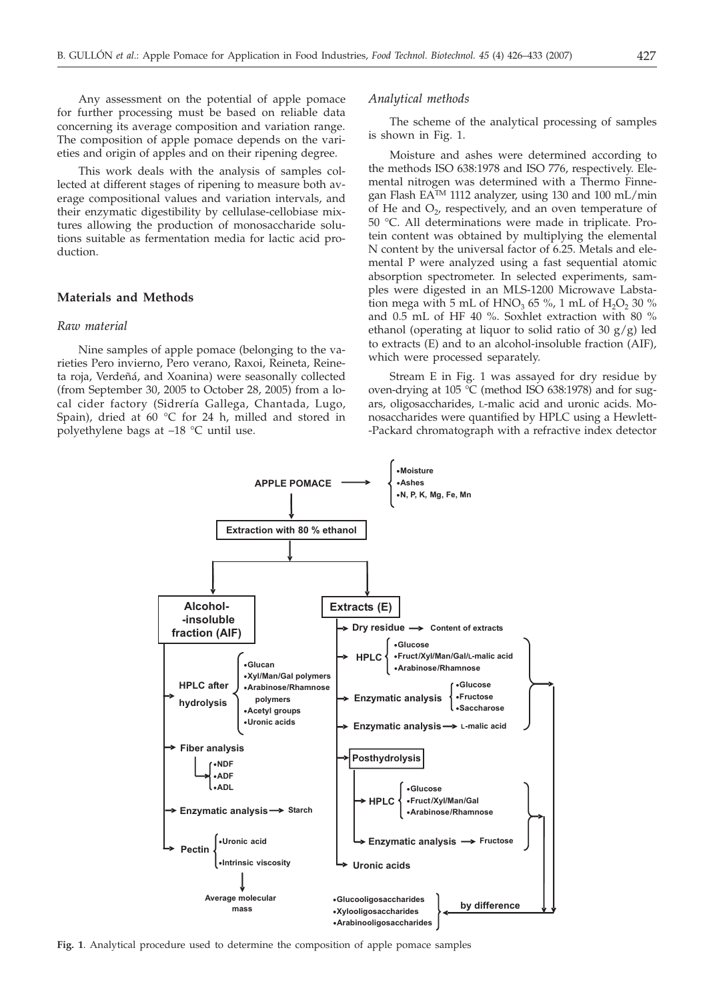Any assessment on the potential of apple pomace for further processing must be based on reliable data concerning its average composition and variation range. The composition of apple pomace depends on the varieties and origin of apples and on their ripening degree.

This work deals with the analysis of samples collected at different stages of ripening to measure both average compositional values and variation intervals, and their enzymatic digestibility by cellulase-cellobiase mixtures allowing the production of monosaccharide solutions suitable as fermentation media for lactic acid production.

## **Materials and Methods**

## *Raw material*

Nine samples of apple pomace (belonging to the varieties Pero invierno, Pero verano, Raxoi, Reineta, Reineta roja, Verdeñá, and Xoanina) were seasonally collected (from September 30, 2005 to October 28, 2005) from a local cider factory (Sidrería Gallega, Chantada, Lugo, Spain), dried at 60 °C for 24 h, milled and stored in polyethylene bags at –18 °C until use.

#### *Analytical methods*

The scheme of the analytical processing of samples is shown in Fig. 1.

Moisture and ashes were determined according to the methods ISO 638:1978 and ISO 776, respectively. Elemental nitrogen was determined with a Thermo Finnegan Flash EA<sup>TM</sup> 1112 analyzer, using 130 and 100 mL/min of He and  $O<sub>2</sub>$ , respectively, and an oven temperature of 50 °C. All determinations were made in triplicate. Protein content was obtained by multiplying the elemental N content by the universal factor of 6.25. Metals and elemental P were analyzed using a fast sequential atomic absorption spectrometer. In selected experiments, samples were digested in an MLS-1200 Microwave Labstation mega with 5 mL of  $HNO<sub>3</sub>$  65 %, 1 mL of  $H<sub>2</sub>O<sub>2</sub>$  30 % and 0.5 mL of HF 40 %. Soxhlet extraction with 80 % ethanol (operating at liquor to solid ratio of 30  $g/g$ ) led to extracts (E) and to an alcohol-insoluble fraction (AIF), which were processed separately.

Stream E in Fig. 1 was assayed for dry residue by oven-drying at 105 °C (method ISO 638:1978) and for sugars, oligosaccharides, L-malic acid and uronic acids. Monosaccharides were quantified by HPLC using a Hewlett- -Packard chromatograph with a refractive index detector



**Fig. 1**. Analytical procedure used to determine the composition of apple pomace samples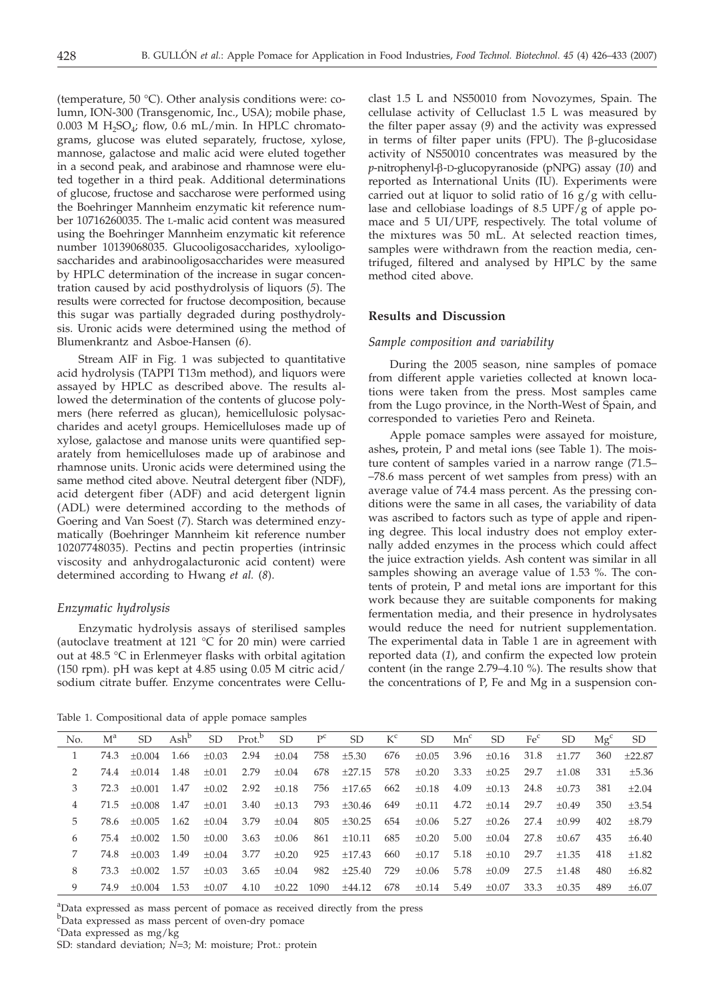(temperature, 50 °C). Other analysis conditions were: column, ION-300 (Transgenomic, Inc., USA); mobile phase, 0.003 M  $H_2SO_4$ ; flow, 0.6 mL/min. In HPLC chromatograms, glucose was eluted separately, fructose, xylose, mannose, galactose and malic acid were eluted together in a second peak, and arabinose and rhamnose were eluted together in a third peak. Additional determinations of glucose, fructose and saccharose were performed using the Boehringer Mannheim enzymatic kit reference number 10716260035. The L-malic acid content was measured using the Boehringer Mannheim enzymatic kit reference number 10139068035. Glucooligosaccharides, xylooligosaccharides and arabinooligosaccharides were measured by HPLC determination of the increase in sugar concentration caused by acid posthydrolysis of liquors (*5*). The results were corrected for fructose decomposition, because this sugar was partially degraded during posthydrolysis. Uronic acids were determined using the method of Blumenkrantz and Asboe-Hansen (*6*).

Stream AIF in Fig. 1 was subjected to quantitative acid hydrolysis (TAPPI T13m method), and liquors were assayed by HPLC as described above. The results allowed the determination of the contents of glucose polymers (here referred as glucan), hemicellulosic polysaccharides and acetyl groups. Hemicelluloses made up of xylose, galactose and manose units were quantified separately from hemicelluloses made up of arabinose and rhamnose units. Uronic acids were determined using the same method cited above. Neutral detergent fiber (NDF), acid detergent fiber (ADF) and acid detergent lignin (ADL) were determined according to the methods of Goering and Van Soest (*7*). Starch was determined enzymatically (Boehringer Mannheim kit reference number 10207748035). Pectins and pectin properties (intrinsic viscosity and anhydrogalacturonic acid content) were determined according to Hwang *et al.* (*8*).

## *Enzymatic hydrolysis*

Enzymatic hydrolysis assays of sterilised samples (autoclave treatment at 121 °C for 20 min) were carried out at 48.5 °C in Erlenmeyer flasks with orbital agitation  $(150$  rpm). pH was kept at 4.85 using 0.05 M citric acid/ sodium citrate buffer. Enzyme concentrates were Cellu-

Table 1. Compositional data of apple pomace samples

clast 1.5 L and NS50010 from Novozymes, Spain. The cellulase activity of Celluclast 1.5 L was measured by the filter paper assay (*9*) and the activity was expressed in terms of filter paper units (FPU). The  $\beta$ -glucosidase activity of NS50010 concentrates was measured by the *p*-nitrophenyl-b-D-glucopyranoside (pNPG) assay (*10*) and reported as International Units (IU). Experiments were carried out at liquor to solid ratio of 16 g/g with cellulase and cellobiase loadings of 8.5 UPF/g of apple pomace and 5 UI/UPF, respectively. The total volume of the mixtures was 50 mL. At selected reaction times, samples were withdrawn from the reaction media, centrifuged, filtered and analysed by HPLC by the same method cited above.

## **Results and Discussion**

#### *Sample composition and variability*

During the 2005 season, nine samples of pomace from different apple varieties collected at known locations were taken from the press. Most samples came from the Lugo province, in the North-West of Spain, and corresponded to varieties Pero and Reineta.

Apple pomace samples were assayed for moisture, ashes**,** protein, P and metal ions (see Table 1). The moisture content of samples varied in a narrow range (71.5– –78.6 mass percent of wet samples from press) with an average value of 74.4 mass percent. As the pressing conditions were the same in all cases, the variability of data was ascribed to factors such as type of apple and ripening degree. This local industry does not employ externally added enzymes in the process which could affect the juice extraction yields. Ash content was similar in all samples showing an average value of 1.53 %. The contents of protein, P and metal ions are important for this work because they are suitable components for making fermentation media, and their presence in hydrolysates would reduce the need for nutrient supplementation. The experimental data in Table 1 are in agreement with reported data (*1*), and confirm the expected low protein content (in the range 2.79–4.10 %). The results show that the concentrations of P, Fe and Mg in a suspension con-

| No. | M <sup>a</sup> | SD.         | $\mathbf{Ash}^{\mathsf{b}}$ | SD.     | Prot. <sup>b</sup> SD |            | $P^{c}$ | SD.         | $K^c$ | SD.        | $Mn^c$ | SD.        | Fe <sup>c</sup> | SD.     | $M\varrho^c$ | SD.        |
|-----|----------------|-------------|-----------------------------|---------|-----------------------|------------|---------|-------------|-------|------------|--------|------------|-----------------|---------|--------------|------------|
|     | 74.3           | $+0.004$    | 1.66                        | $+0.03$ | 2.94                  | $\pm 0.04$ | 758     | $\pm 5.30$  | 676   | $+0.05$    | 3.96   | $+0.16$    | 31.8            | $+1.77$ | 360          | $+22.87$   |
|     | 74.4           | $+0.014$    | 1.48                        | $+0.01$ | 2.79                  | $\pm 0.04$ | 678     | ±27.15      | 578   | $\pm 0.20$ | 3.33   | $\pm 0.25$ | 29.7            | $+1.08$ | 331          | $\pm 5.36$ |
| 3.  | 72.3           | $+0.001$    | 1.47                        | $+0.02$ | 2.92                  | $\pm 0.18$ | 756     | $\pm 17.65$ | 662   | $\pm 0.18$ | 4.09   | $+0.13$    | 24.8            | $+0.73$ | 381          | $+2.04$    |
|     | 71.5           | $+0.008$    | 1.47                        | $+0.01$ | 3.40                  | $\pm 0.13$ | 793     | $\pm 30.46$ | 649   | $\pm 0.11$ | 4.72   | $+0.14$    | 29.7            | $+0.49$ | 350          | $+3.54$    |
| 5.  | 78.6           | $\pm 0.005$ | 1.62                        | $+0.04$ | 3.79                  | $\pm 0.04$ | 805     | $\pm 30.25$ | 654   | $+0.06$    | 5.27   | $+0.26$    | 27.4            | $+0.99$ | 402          | $+8.79$    |
| 6   | 75.4           | $+0.002$    | 1.50                        | $+0.00$ | 3.63                  | $\pm 0.06$ | 861     | $\pm 10.11$ | 685   | $\pm 0.20$ | 5.00   | $+0.04$    | 27.8            | $+0.67$ | 435          | $+6.40$    |
|     | 74.8           | $+0.003$    | 1.49                        | $+0.04$ | 3.77                  | $+0.20$    | 925     | $+17.43$    | 660   | $+0.17$    | 5.18   | $+0.10$    | 29.7            | $+1.35$ | 418          | $+1.82$    |
| 8   | 73.3           | $+0.002$    | 1.57                        | $+0.03$ | 3.65                  | $+0.04$    | 982     | $\pm 25.40$ | 729   | $+0.06$    | 5.78   | $+0.09$    | 27.5            | $+1.48$ | 480          | $+6.82$    |
|     | 74.9           | $+0.004$    | 1.53                        | $+0.07$ | 4.10                  | $+0.22$    | 1090    | ±44.12      | 678   | $\pm 0.14$ | 5.49   | $+0.07$    | 33.3            | $+0.35$ | 489          | $+6.07$    |

<sup>a</sup>Data expressed as mass percent of pomace as received directly from the press

bData expressed as mass percent of oven-dry pomace

c Data expressed as mg/kg

SD: standard deviation; *N*=3; M: moisture; Prot.: protein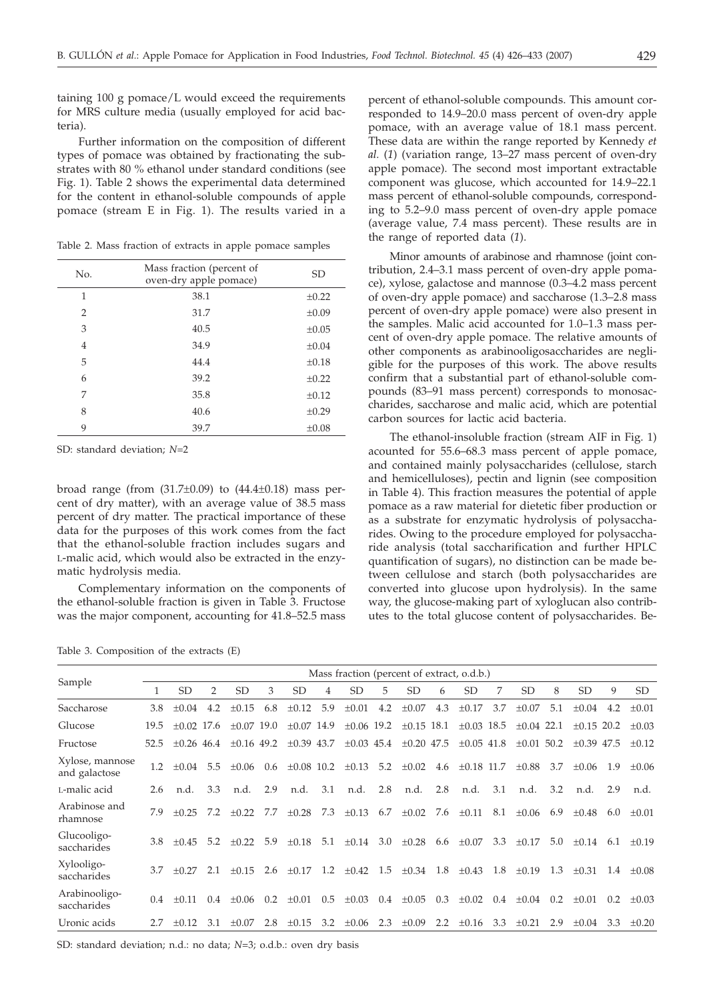taining 100 g pomace/L would exceed the requirements for MRS culture media (usually employed for acid bacteria).

Further information on the composition of different types of pomace was obtained by fractionating the substrates with 80 % ethanol under standard conditions (see Fig. 1). Table 2 shows the experimental data determined for the content in ethanol-soluble compounds of apple pomace (stream E in Fig. 1). The results varied in a

Table 2. Mass fraction of extracts in apple pomace samples

| No.            | Mass fraction (percent of<br>oven-dry apple pomace) | <b>SD</b>  |
|----------------|-----------------------------------------------------|------------|
| $\mathbf{1}$   | 38.1                                                | ±0.22      |
| 2              | 31.7                                                | $\pm 0.09$ |
| 3              | 40.5                                                | $\pm 0.05$ |
| $\overline{4}$ | 34.9                                                | $\pm 0.04$ |
| 5              | 44.4                                                | $\pm 0.18$ |
| 6              | 39.2                                                | ±0.22      |
| 7              | 35.8                                                | $\pm 0.12$ |
| 8              | 40.6                                                | $\pm 0.29$ |
| 9              | 39.7                                                | $\pm 0.08$ |

SD: standard deviation; *N*=2

broad range (from  $(31.7\pm0.09)$  to  $(44.4\pm0.18)$  mass percent of dry matter), with an average value of 38.5 mass percent of dry matter. The practical importance of these data for the purposes of this work comes from the fact that the ethanol-soluble fraction includes sugars and L-malic acid, which would also be extracted in the enzymatic hydrolysis media.

Complementary information on the components of the ethanol-soluble fraction is given in Table 3. Fructose was the major component, accounting for 41.8–52.5 mass

Table 3. Composition of the extracts (E)

percent of ethanol-soluble compounds. This amount corresponded to 14.9–20.0 mass percent of oven-dry apple pomace, with an average value of 18.1 mass percent. These data are within the range reported by Kennedy *et al.* (*1*) (variation range, 13–27 mass percent of oven-dry apple pomace). The second most important extractable component was glucose, which accounted for 14.9–22.1 mass percent of ethanol-soluble compounds, corresponding to 5.2–9.0 mass percent of oven-dry apple pomace (average value, 7.4 mass percent). These results are in the range of reported data (*1*).

Minor amounts of arabinose and rhamnose (joint contribution, 2.4–3.1 mass percent of oven-dry apple pomace), xylose, galactose and mannose (0.3–4.2 mass percent of oven-dry apple pomace) and saccharose (1.3–2.8 mass percent of oven-dry apple pomace) were also present in the samples. Malic acid accounted for 1.0–1.3 mass percent of oven-dry apple pomace. The relative amounts of other components as arabinooligosaccharides are negligible for the purposes of this work. The above results confirm that a substantial part of ethanol-soluble compounds (83–91 mass percent) corresponds to monosaccharides, saccharose and malic acid, which are potential carbon sources for lactic acid bacteria.

The ethanol-insoluble fraction (stream AIF in Fig. 1) acounted for 55.6–68.3 mass percent of apple pomace, and contained mainly polysaccharides (cellulose, starch and hemicelluloses), pectin and lignin (see composition in Table 4). This fraction measures the potential of apple pomace as a raw material for dietetic fiber production or as a substrate for enzymatic hydrolysis of polysaccharides. Owing to the procedure employed for polysaccharide analysis (total saccharification and further HPLC quantification of sugars), no distinction can be made between cellulose and starch (both polysaccharides are converted into glucose upon hydrolysis). In the same way, the glucose-making part of xyloglucan also contributes to the total glucose content of polysaccharides. Be-

|                                  | Mass fraction (percent of extract, o.d.b.) |              |               |              |     |                 |     |                 |     |                                 |     |                 |     |                 |     |                 |               |            |
|----------------------------------|--------------------------------------------|--------------|---------------|--------------|-----|-----------------|-----|-----------------|-----|---------------------------------|-----|-----------------|-----|-----------------|-----|-----------------|---------------|------------|
| Sample                           | 1                                          | <b>SD</b>    | $\mathcal{P}$ | SD.          | 3   | <b>SD</b>       | 4   | SD.             | 5   | <b>SD</b>                       | 6   | SD.             | 7   | <b>SD</b>       | 8   | <b>SD</b>       | 9             | SD.        |
| Saccharose                       | 3.8                                        | $+0.04$      | 4.2           | $\pm 0.15$   | 6.8 | $\pm 0.12$      | 5.9 | $\pm 0.01$      | 4.2 | $\pm 0.07$                      | 4.3 | $\pm 0.17$      | 3.7 | $\pm 0.07$      | 5.1 | $\pm 0.04$      | 4.2           | $\pm 0.01$ |
| Glucose                          | 19.5                                       | $+0.02$ 17.6 |               | $+0.07$ 19.0 |     | $+0.07$ 14.9    |     | $\pm 0.06$ 19.2 |     | $\pm 0.15$ 18.1                 |     | $\pm 0.03$ 18.5 |     | $\pm 0.04$ 22.1 |     | $\pm 0.15$ 20.2 |               | $\pm 0.03$ |
| Fructose                         | 52.5                                       | $+0.26$ 46.4 |               | $+0.16$ 49.2 |     | $+0.39$ 43.7    |     |                 |     | $\pm 0.03$ 45.4 $\pm 0.20$ 47.5 |     | $\pm 0.05$ 41.8 |     | $\pm 0.01$ 50.2 |     | $+0.39$ 47.5    |               | $+0.12$    |
| Xylose, mannose<br>and galactose | 1.2                                        | $\pm 0.04$   | 5.5           | $\pm 0.06$   | 0.6 | $\pm 0.08$ 10.2 |     | $\pm 0.13$ 5.2  |     | $\pm 0.02$ 4.6                  |     | $\pm 0.18$ 11.7 |     | $\pm 0.88$      | 3.7 | $\pm 0.06$      | 1.9           | $\pm 0.06$ |
| L-malic acid                     | 2.6                                        | n.d.         | 3.3           | n.d.         | 2.9 | n.d.            | 3.1 | n.d.            | 2.8 | n.d.                            | 2.8 | n.d.            | 3.1 | n.d.            | 3.2 | n.d.            | 2.9           | n.d.       |
| Arabinose and<br>rhamnose        | 7.9                                        | $+0.25$      | 7.2           | $+0.22$      | 7.7 | $\pm 0.28$      | 7.3 | $\pm 0.13$      | 6.7 | $\pm 0.02$ 7.6                  |     | $\pm 0.11$      | 8.1 | $\pm 0.06$ 6.9  |     | $\pm 0.48$      | 6.0           | $\pm 0.01$ |
| Glucooligo-<br>saccharides       | 3.8                                        | $+0.45$      | 5.2           | $+0.22$ 5.9  |     | $\pm 0.18$      | 5.1 | $\pm 0.14$ 3.0  |     | $\pm 0.28$                      | 6.6 | $\pm 0.07$ 3.3  |     | $\pm 0.17$      | 5.0 | $\pm 0.14$      | 6.1           | $\pm 0.19$ |
| Xylooligo-<br>saccharides        | 3.7                                        | $\pm 0.27$   | 2.1           | $\pm 0.15$   | 2.6 | $\pm 0.17$ 1.2  |     | $\pm 0.42$      | 1.5 | $\pm 0.34$                      | 1.8 | $\pm 0.43$      | 1.8 | $\pm 0.19$      | 1.3 | $\pm 0.31$      | 1.4           | $\pm 0.08$ |
| Arabinooligo-<br>saccharides     | 0.4                                        | $\pm 0.11$   | 0.4           | $\pm 0.06$   | 0.2 | $\pm 0.01$      | 0.5 | $\pm 0.03$      | 0.4 | $\pm 0.05$                      | 0.3 | $\pm 0.02$      | 0.4 | $\pm 0.04$      | 0.2 | $\pm 0.01$      | $0.2^{\circ}$ | $\pm 0.03$ |
| Uronic acids                     | 2.7                                        | $+0.12$      | 3.1           | $\pm 0.07$   | 2.8 | $\pm 0.15$      | 3.2 | $\pm 0.06$      |     | 2.3 $\pm 0.09$ 2.2              |     | $\pm 0.16$ 3.3  |     | $\pm 0.21$      | 2.9 | $\pm 0.04$      | 3.3           | $\pm 0.20$ |

SD: standard deviation; n.d.: no data; *N*=3; o.d.b.: oven dry basis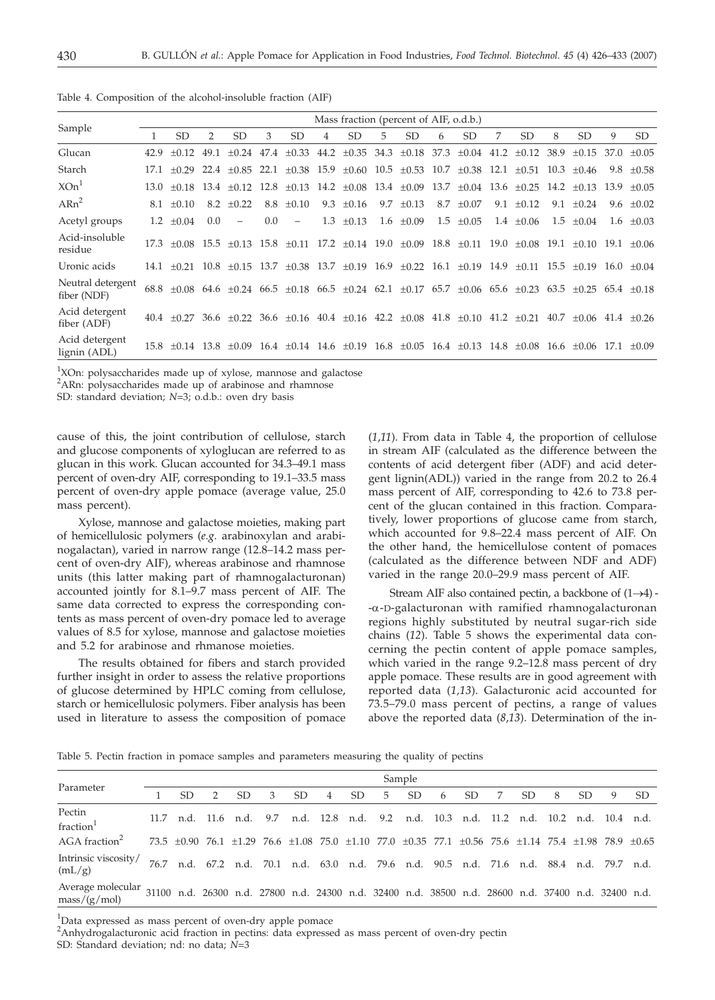|                                  | Mass fraction (percent of AIF, o.d.b.) |                                                                                                                                                                   |     |                          |               |                |   |                                                                 |   |                |   |                |     |                 |     |                            |      |                |
|----------------------------------|----------------------------------------|-------------------------------------------------------------------------------------------------------------------------------------------------------------------|-----|--------------------------|---------------|----------------|---|-----------------------------------------------------------------|---|----------------|---|----------------|-----|-----------------|-----|----------------------------|------|----------------|
| Sample                           |                                        | SD                                                                                                                                                                | 2   | <b>SD</b>                | 3             | SD.            | 4 | SD.                                                             | 5 | SD.            | 6 | <b>SD</b>      | 7   | SD.             | 8   | SD.                        | 9    | SD.            |
| Glucan                           | 42.9                                   | $+0.12$                                                                                                                                                           |     | 49.1 $\pm 0.24$          | 47.4          |                |   | $\pm 0.33$ 44.2 $\pm 0.35$ 34.3 $\pm 0.18$ 37.3 $\pm 0.04$ 41.2 |   |                |   |                |     | $\pm 0.12$ 38.9 |     | $+0.15$ 37.0               |      | $+0.05$        |
| Starch                           |                                        | $17.1 + 0.29$ $22.4 + 0.85$ $22.1 + 0.38$ $15.9 + 0.60$ $10.5 + 0.53$ $10.7 + 0.38$ $12.1 + 0.51$ $10.3$                                                          |     |                          |               |                |   |                                                                 |   |                |   |                |     |                 |     | $+0.46$                    |      | $9.8 + 0.58$   |
| XOn <sup>1</sup>                 |                                        | $13.0 \pm 0.18$ $13.4 \pm 0.12$ $12.8 \pm 0.13$ $14.2 \pm 0.08$ $13.4 \pm 0.09$ $13.7 \pm 0.04$ $13.6 \pm 0.25$ $14.2$                                            |     |                          |               |                |   |                                                                 |   |                |   |                |     |                 |     | $+0.13$                    | 13.9 | $+0.05$        |
| $ARn^2$                          |                                        | $8.1 + 0.10$                                                                                                                                                      |     | $8.2 + 0.22$             |               | 8.8 $\pm 0.10$ |   | 9.3 $\pm 0.16$                                                  |   | 9.7 $\pm 0.13$ |   | 8.7 $\pm 0.07$ | 9.1 | $+0.12$         | 9.1 | $+0.24$                    |      | 9.6 $\pm 0.02$ |
| Acetyl groups                    |                                        | 1.2 $\pm 0.04$                                                                                                                                                    | 0.0 | $\overline{\phantom{a}}$ | $0.0^{\circ}$ | $\equiv$       |   | $1.3 \pm 0.13$                                                  |   | $1.6 \pm 0.09$ |   | $1.5 \pm 0.05$ |     | $1.4 \pm 0.06$  | 1.5 | $+0.04$                    |      | $1.6 \pm 0.03$ |
| Acid-insoluble<br>residue        |                                        | 17.3 ±0.08 15.5 ±0.13 15.8 ±0.11 17.2 ±0.14 19.0 ±0.09 18.8 ±0.11 19.0 ±0.08 19.1 ±0.10 19.1 ±0.06                                                                |     |                          |               |                |   |                                                                 |   |                |   |                |     |                 |     |                            |      |                |
| Uronic acids                     |                                        | $14.1 \pm 0.21$ $10.8 \pm 0.15$ $13.7 \pm 0.38$ $13.7 \pm 0.19$ $16.9 \pm 0.22$ $16.1 \pm 0.19$ $14.9 \pm 0.11$ $15.5 \pm 0.19$ $16.0 \pm 0.04$                   |     |                          |               |                |   |                                                                 |   |                |   |                |     |                 |     |                            |      |                |
| Neutral detergent<br>fiber (NDF) |                                        | $68.8$ $\pm 0.08$ $64.6$ $\pm 0.24$ $66.5$ $\pm 0.18$ $66.5$ $\pm 0.24$ $62.1$ $\pm 0.17$ $65.7$ $\pm 0.06$ $65.6$ $\pm 0.23$ $63.5$ $\pm 0.25$ $65.4$ $\pm 0.18$ |     |                          |               |                |   |                                                                 |   |                |   |                |     |                 |     |                            |      |                |
| Acid detergent<br>fiber (ADF)    |                                        | $40.4 \pm 0.27$ 36.6 $\pm 0.22$ 36.6 $\pm 0.16$ 40.4 $\pm 0.16$ 42.2 $\pm 0.08$ 41.8 $\pm 0.10$ 41.2 $\pm 0.21$ 40.7                                              |     |                          |               |                |   |                                                                 |   |                |   |                |     |                 |     | $\pm 0.06$ 41.4 $\pm 0.26$ |      |                |
| Acid detergent<br>lignin (ADL)   |                                        | $15.8 \pm 0.14$ $13.8 \pm 0.09$ $16.4 \pm 0.14$ $14.6 \pm 0.19$ $16.8 \pm 0.05$ $16.4 \pm 0.13$ $14.8 \pm 0.08$ $16.6 \pm 0.06$ $17.1$                            |     |                          |               |                |   |                                                                 |   |                |   |                |     |                 |     |                            |      | $+0.09$        |

Table 4. Composition of the alcohol-insoluble fraction (AIF)

<sup>1</sup>XOn: polysaccharides made up of xylose, mannose and galactose

<sup>2</sup>ARn: polysaccharides made up of arabinose and rhamnose

SD: standard deviation; *N*=3; o.d.b.: oven dry basis

cause of this, the joint contribution of cellulose, starch and glucose components of xyloglucan are referred to as glucan in this work. Glucan accounted for 34.3–49.1 mass percent of oven-dry AIF, corresponding to 19.1–33.5 mass percent of oven-dry apple pomace (average value, 25.0 mass percent).

Xylose, mannose and galactose moieties, making part of hemicellulosic polymers (*e.g.* arabinoxylan and arabinogalactan), varied in narrow range (12.8–14.2 mass percent of oven-dry AIF), whereas arabinose and rhamnose units (this latter making part of rhamnogalacturonan) accounted jointly for 8.1–9.7 mass percent of AIF. The same data corrected to express the corresponding contents as mass percent of oven-dry pomace led to average values of 8.5 for xylose, mannose and galactose moieties and 5.2 for arabinose and rhmanose moieties.

The results obtained for fibers and starch provided further insight in order to assess the relative proportions of glucose determined by HPLC coming from cellulose, starch or hemicellulosic polymers. Fiber analysis has been used in literature to assess the composition of pomace

(*1*,*11*). From data in Table 4, the proportion of cellulose in stream AIF (calculated as the difference between the contents of acid detergent fiber (ADF) and acid detergent lignin(ADL)) varied in the range from 20.2 to 26.4 mass percent of AIF, corresponding to 42.6 to 73.8 percent of the glucan contained in this fraction. Comparatively, lower proportions of glucose came from starch, which accounted for 9.8–22.4 mass percent of AIF. On the other hand, the hemicellulose content of pomaces (calculated as the difference between NDF and ADF) varied in the range 20.0–29.9 mass percent of AIF.

Stream AIF also contained pectin, a backbone of  $(1 \rightarrow 4)$  --a-D-galacturonan with ramified rhamnogalacturonan regions highly substituted by neutral sugar-rich side chains (*12*). Table 5 shows the experimental data concerning the pectin content of apple pomace samples, which varied in the range 9.2–12.8 mass percent of dry apple pomace. These results are in good agreement with reported data (*1,13*). Galacturonic acid accounted for 73.5–79.0 mass percent of pectins, a range of values above the reported data (*8*,*13*). Determination of the in-

Table 5. Pectin fraction in pomace samples and parameters measuring the quality of pectins

|                                                   | Sample |     |   |     |   |     |                |     |                                                                                                                                                 |               |   |     |   |     |   |     |   |     |
|---------------------------------------------------|--------|-----|---|-----|---|-----|----------------|-----|-------------------------------------------------------------------------------------------------------------------------------------------------|---------------|---|-----|---|-----|---|-----|---|-----|
| Parameter                                         |        | SD. | 2 | SD. | 3 | SD. | $\overline{4}$ | SD. | 5                                                                                                                                               | <sub>SD</sub> | 6 | SD. | 7 | SD. | 8 | SD. | 9 | SD. |
| Pectin<br>fraction <sup>1</sup>                   |        |     |   |     |   |     |                |     | 11.7 n.d. 11.6 n.d. 9.7 n.d. 12.8 n.d. 9.2 n.d. 10.3 n.d. 11.2 n.d. 10.2 n.d. 10.4 n.d.                                                         |               |   |     |   |     |   |     |   |     |
| AGA fraction <sup>2</sup>                         |        |     |   |     |   |     |                |     | $73.5 \pm 0.90$ $76.1 \pm 1.29$ $76.6 \pm 1.08$ $75.0 \pm 1.10$ $77.0 \pm 0.35$ $77.1 \pm 0.56$ $75.6 \pm 1.14$ $75.4 \pm 1.98$ $78.9 \pm 0.65$ |               |   |     |   |     |   |     |   |     |
| Intrinsic viscosity/<br>(mL/g)                    |        |     |   |     |   |     |                |     | 76.7 n.d. 67.2 n.d. 70.1 n.d. 63.0 n.d. 79.6 n.d. 90.5 n.d. 71.6 n.d. 88.4 n.d. 79.7 n.d.                                                       |               |   |     |   |     |   |     |   |     |
| Average molecular<br>$\text{mass}/(\text{g/mol})$ |        |     |   |     |   |     |                |     | 31100 n.d. 26300 n.d. 27800 n.d. 24300 n.d. 32400 n.d. 38500 n.d. 28600 n.d. 37400 n.d. 32400 n.d.                                              |               |   |     |   |     |   |     |   |     |

<sup>1</sup>Data expressed as mass percent of oven-dry apple pomace

<sup>2</sup>Anhydrogalacturonic acid fraction in pectins: data expressed as mass percent of oven-dry pectin

SD: Standard deviation; nd: no data; *N*=3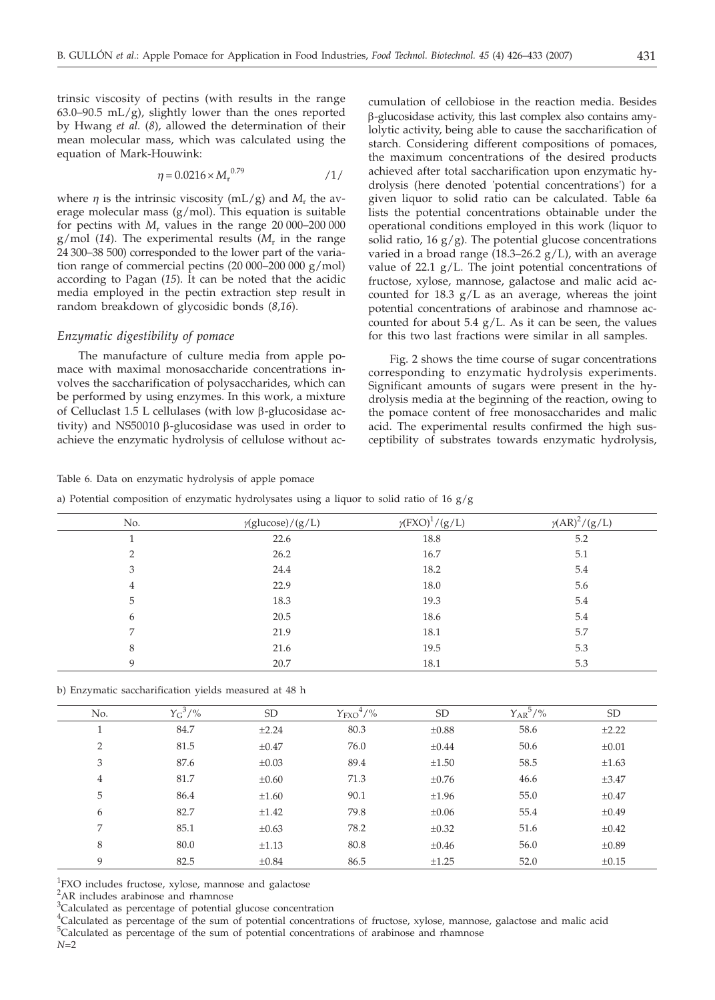trinsic viscosity of pectins (with results in the range 63.0–90.5 mL/g), slightly lower than the ones reported by Hwang *et al.* (*8*), allowed the determination of their mean molecular mass, which was calculated using the equation of Mark-Houwink:

$$
\eta = 0.0216 \times M_{\rm r}^{0.79} \tag{1/}
$$

where  $\eta$  is the intrinsic viscosity (mL/g) and  $M_r$  the average molecular mass  $(g/mol)$ . This equation is suitable for pectins with  $M_r$  values in the range  $20\,000$ –200 000  $g/mol$  (14). The experimental results ( $M<sub>r</sub>$  in the range 24 300–38 500) corresponded to the lower part of the variation range of commercial pectins (20 000–200 000 g/mol) according to Pagan (*15*). It can be noted that the acidic media employed in the pectin extraction step result in random breakdown of glycosidic bonds (*8*,*16*).

## *Enzymatic digestibility of pomace*

The manufacture of culture media from apple pomace with maximal monosaccharide concentrations involves the saccharification of polysaccharides, which can be performed by using enzymes. In this work, a mixture of Celluclast 1.5 L cellulases (with low  $\beta$ -glucosidase activity) and NS50010  $\beta$ -glucosidase was used in order to achieve the enzymatic hydrolysis of cellulose without accumulation of cellobiose in the reaction media. Besides b-glucosidase activity, this last complex also contains amylolytic activity, being able to cause the saccharification of starch. Considering different compositions of pomaces, the maximum concentrations of the desired products achieved after total saccharification upon enzymatic hydrolysis (here denoted 'potential concentrations') for a given liquor to solid ratio can be calculated. Table 6a lists the potential concentrations obtainable under the operational conditions employed in this work (liquor to solid ratio,  $16 \frac{g}{g}$ . The potential glucose concentrations varied in a broad range (18.3–26.2  $g/L$ ), with an average value of 22.1 g/L. The joint potential concentrations of fructose, xylose, mannose, galactose and malic acid accounted for 18.3 g/L as an average, whereas the joint potential concentrations of arabinose and rhamnose accounted for about  $5.4$  g/L. As it can be seen, the values for this two last fractions were similar in all samples.

Fig. 2 shows the time course of sugar concentrations corresponding to enzymatic hydrolysis experiments. Significant amounts of sugars were present in the hydrolysis media at the beginning of the reaction, owing to the pomace content of free monosaccharides and malic acid. The experimental results confirmed the high susceptibility of substrates towards enzymatic hydrolysis,

#### Table 6. Data on enzymatic hydrolysis of apple pomace

a) Potential composition of enzymatic hydrolysates using a liquor to solid ratio of 16  $g/g$ 

| No.            | $\gamma$ (glucose)/(g/L) | $\gamma$ (FXO) <sup>1</sup> /(g/L) | $\gamma (AR)^2/(g/L)$ |
|----------------|--------------------------|------------------------------------|-----------------------|
|                | 22.6                     | 18.8                               | 5.2                   |
| $\mathcal{D}$  | 26.2                     | 16.7                               | 5.1                   |
| 3              | 24.4                     | 18.2                               | 5.4                   |
| $\overline{4}$ | 22.9                     | 18.0                               | 5.6                   |
| 5              | 18.3                     | 19.3                               | 5.4                   |
| 6              | 20.5                     | 18.6                               | 5.4                   |
| 7              | 21.9                     | 18.1                               | 5.7                   |
| 8              | 21.6                     | 19.5                               | 5.3                   |
| 9              | 20.7                     | 18.1                               | 5.3                   |

| No.            | $Y_{G}^{3}/\frac{9}{6}$ | <b>SD</b>  | $Y_{\text{FXO}}^4/\%$ | <b>SD</b>  | $Y_{AR}^{5/9/6}$ | <b>SD</b>  |
|----------------|-------------------------|------------|-----------------------|------------|------------------|------------|
|                | 84.7                    | $\pm 2.24$ | 80.3                  | $\pm 0.88$ | 58.6             | ±2.22      |
| 2              | 81.5                    | $\pm 0.47$ | 76.0                  | $\pm 0.44$ | 50.6             | $\pm 0.01$ |
| 3              | 87.6                    | $\pm 0.03$ | 89.4                  | $\pm 1.50$ | 58.5             | $\pm 1.63$ |
| $\overline{4}$ | 81.7                    | $\pm 0.60$ | 71.3                  | $\pm 0.76$ | 46.6             | $\pm 3.47$ |
| 5              | 86.4                    | $\pm 1.60$ | 90.1                  | ±1.96      | 55.0             | $\pm 0.47$ |
| 6              | 82.7                    | $\pm 1.42$ | 79.8                  | $\pm 0.06$ | 55.4             | $\pm 0.49$ |
| 7              | 85.1                    | $\pm 0.63$ | 78.2                  | $\pm 0.32$ | 51.6             | $\pm 0.42$ |
| 8              | 80.0                    | $\pm 1.13$ | 80.8                  | $\pm 0.46$ | 56.0             | $\pm 0.89$ |
| 9              | 82.5                    | $\pm 0.84$ | 86.5                  | $\pm 1.25$ | 52.0             | $\pm 0.15$ |

<sup>1</sup>FXO includes fructose, xylose, mannose and galactose

<sup>2</sup>AR includes arabinose and rhamnose

<sup>3</sup>Calculated as percentage of potential glucose concentration

4 Calculated as percentage of the sum of potential concentrations of fructose, xylose, mannose, galactose and malic acid <sup>5</sup>Calculated as percentage of the sum of potential concentrations of arabinose and rhamnose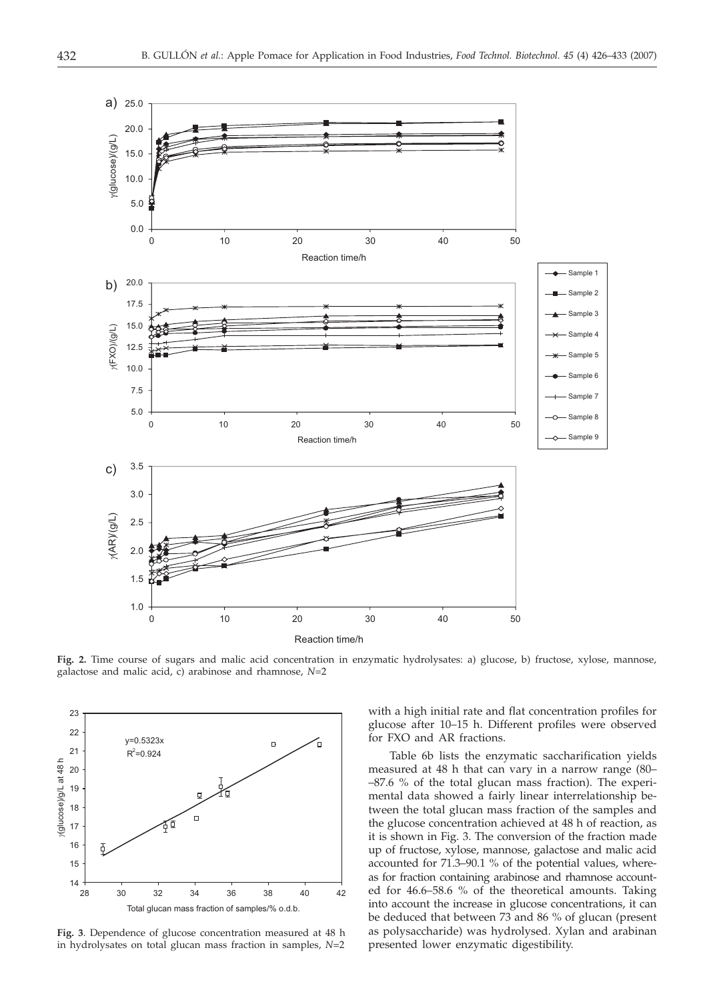

**Fig. 2.** Time course of sugars and malic acid concentration in enzymatic hydrolysates: a) glucose, b) fructose, xylose, mannose, galactose and malic acid, c) arabinose and rhamnose, *N*=2



**Fig. 3**. Dependence of glucose concentration measured at 48 h in hydrolysates on total glucan mass fraction in samples, *N*=2

with a high initial rate and flat concentration profiles for glucose after 10–15 h. Different profiles were observed for FXO and AR fractions.

Table 6b lists the enzymatic saccharification yields measured at 48 h that can vary in a narrow range (80– –87.6 % of the total glucan mass fraction). The experimental data showed a fairly linear interrelationship between the total glucan mass fraction of the samples and the glucose concentration achieved at 48 h of reaction, as it is shown in Fig. 3. The conversion of the fraction made up of fructose, xylose, mannose, galactose and malic acid accounted for 71.3–90.1 % of the potential values, whereas for fraction containing arabinose and rhamnose accounted for 46.6–58.6 % of the theoretical amounts. Taking into account the increase in glucose concentrations, it can be deduced that between 73 and 86 % of glucan (present as polysaccharide) was hydrolysed. Xylan and arabinan presented lower enzymatic digestibility.